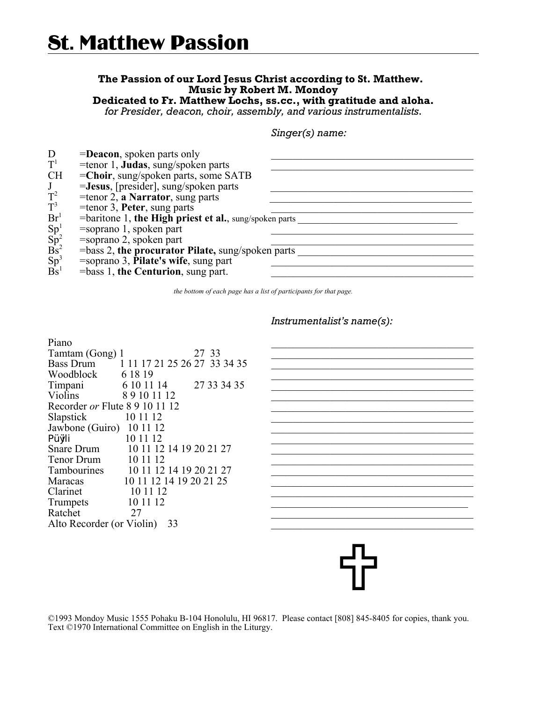## **The Passion of our Lord Jesus Christ according to St. Matthew. Music by Robert M. Mondoy**

**Dedicated to Fr. Matthew Lochs, ss.cc., with gratitude and aloha.** *for Presider, deacon, choir, assembly, and various instrumentalists*.

*Singer(s) name:*

| D                                      | $=$ <b>Deacon</b> , spoken parts only                     |
|----------------------------------------|-----------------------------------------------------------|
| $\mathrm{T}^1$                         | $=$ tenor 1, <b>Judas</b> , sung/spoken parts             |
| <b>CH</b>                              | $=$ Choir, sung/spoken parts, some SATB                   |
| $\mathbf{J}$                           | =Jesus, [presider], sung/spoken parts                     |
| $T^2$                                  | $\equiv$ tenor 2, a Narrator, sung parts                  |
| $T^3$                                  | $\equiv$ tenor 3, <b>Peter</b> , sung parts               |
| Br <sup>1</sup>                        | =baritone 1, the High priest et al., sung/spoken parts    |
| $\frac{Sp^1}{Sp^2}$<br>Bs <sup>2</sup> | $=$ soprano 1, spoken part                                |
|                                        | $=$ soprano 2, spoken part                                |
|                                        | $\equiv$ bass 2, the procurator Pilate, sung/spoken parts |
| $\text{Sp}^3$<br>Bs <sup>1</sup>       | $=$ soprano 3, <b>Pilate's wife</b> , sung part           |
|                                        | $\equiv$ bass 1, the Centurion, sung part.                |

*the bottom of each page has a list of participants for that page.*

## *Instrumentalist's name(s):*

Piano <u>and the set of the set of the set of the set of the set of the set of the set of the set of the set of the set of the set of the set of the set of the set of the set of the set of the set of the set of the set of th</u> Tamtam (Gong) 1 27 33<br>Bass Drum 1 11 17 21 25 26 27 33 Bass Drum 1 11 17 21 25 26 27 33 34 35<br>Woodblock 6 18 19 Woodblock 6 18 19 Timpani 6 10 11 14 27 33 34 35 <br>Violins 8 9 10 11 12 Violins 8 9 10 11 12 \_\_\_\_\_\_\_\_\_\_\_\_\_\_\_\_\_\_\_\_\_\_\_\_\_\_\_\_\_\_\_\_\_\_\_\_\_\_ Recorder *or* Flute 8 9 10 11 12<br>Slanstick 10 11 12  $S$ lapstick  $10 \ 11 \ 12$ Jawbone (Guiro) 10 11 12<br>Püÿili 10 11 12 Püÿili 10 11 12 \_\_\_\_\_\_\_\_\_\_\_\_\_\_\_\_\_\_\_\_\_\_\_\_\_\_\_\_\_\_\_\_\_\_\_\_\_\_ Snare Drum  $10\ 11\ 12\ 14\ 19\ 20\ 21\ 27$ Tenor Drum 10 11 12<br>
Tambourines 10 11 12 14 19 20 21 27 10 11 12 14 19 20 21 27 Maracas 10 11 12 14 19 20 21 25 Clarinet 10 11 12 Trumpets  $10 \t11 \t12$ Ratchet 27 Alto Recorder (or Violin)  $33$ 

| 17 |  |
|----|--|
|    |  |
|    |  |

©1993 Mondoy Music 1555 Pohaku B-104 Honolulu, HI 96817. Please contact [808] 845-8405 for copies, thank you. Text ©1970 International Committee on English in the Liturgy.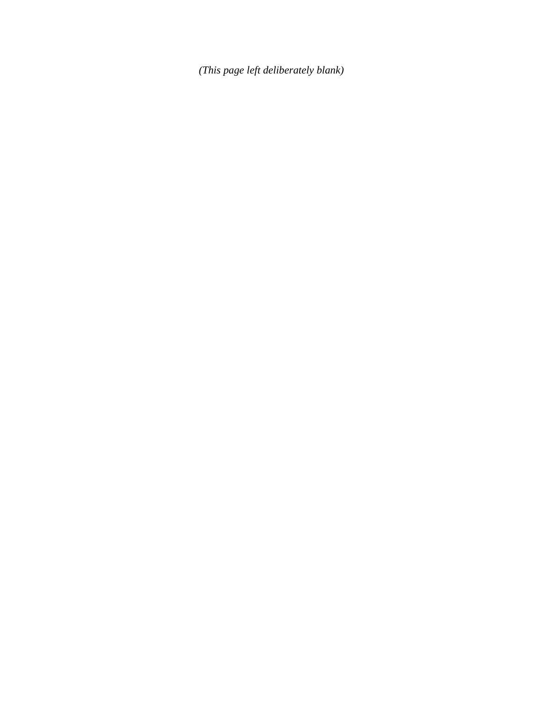*(This page left deliberately blank)*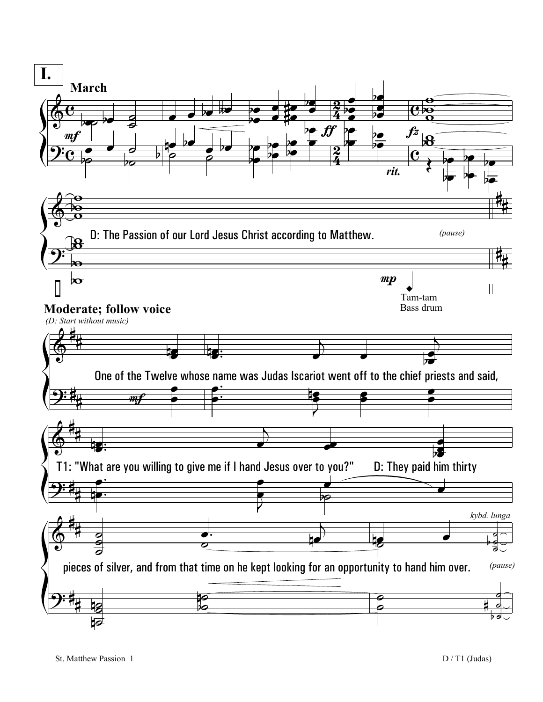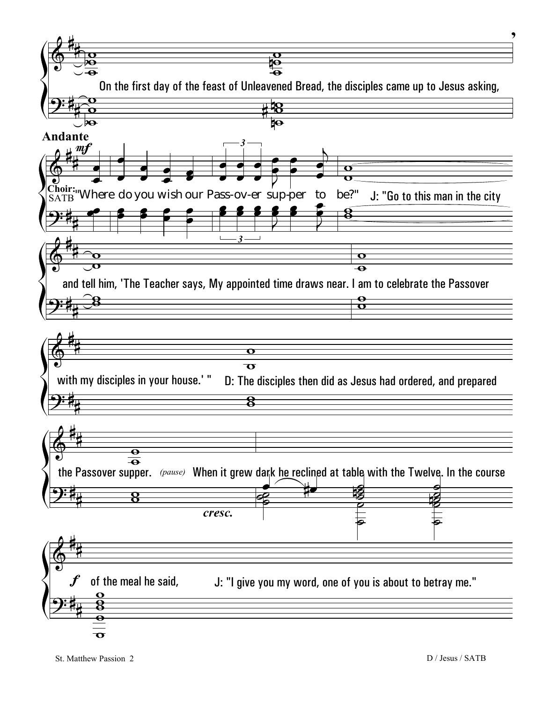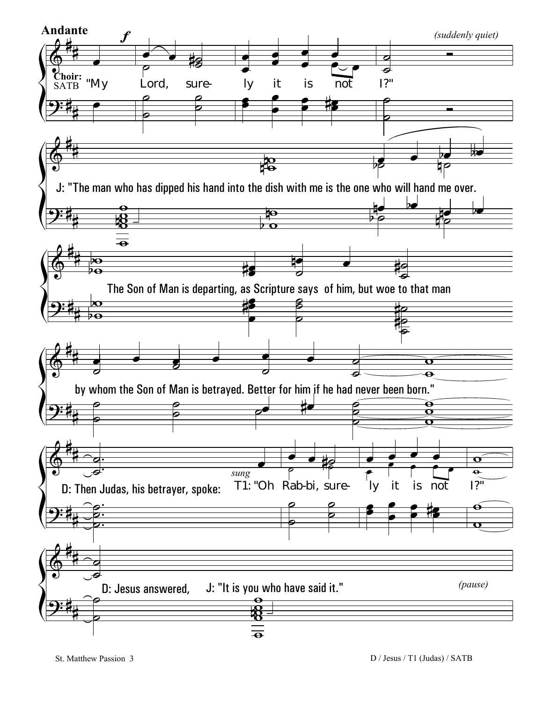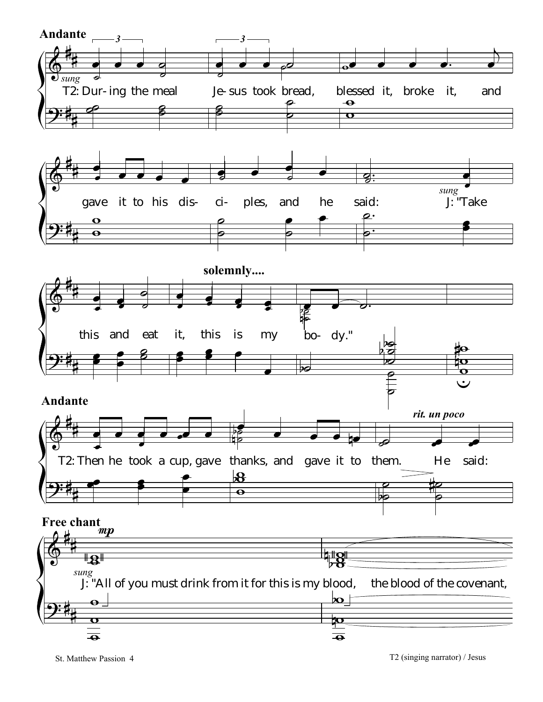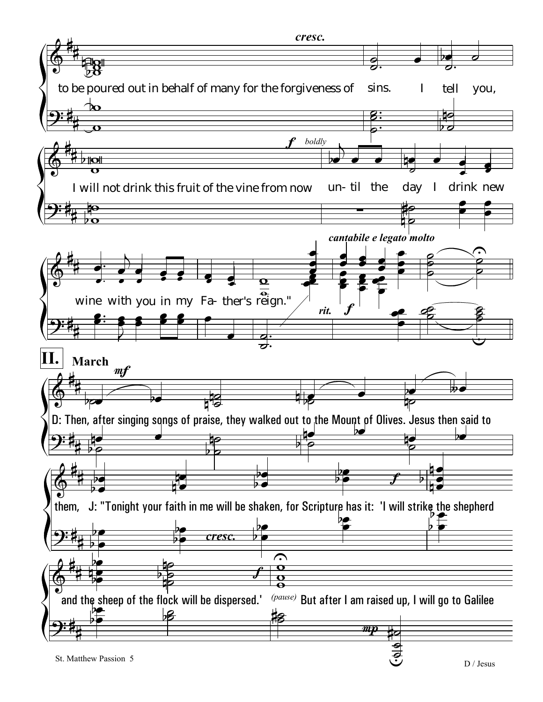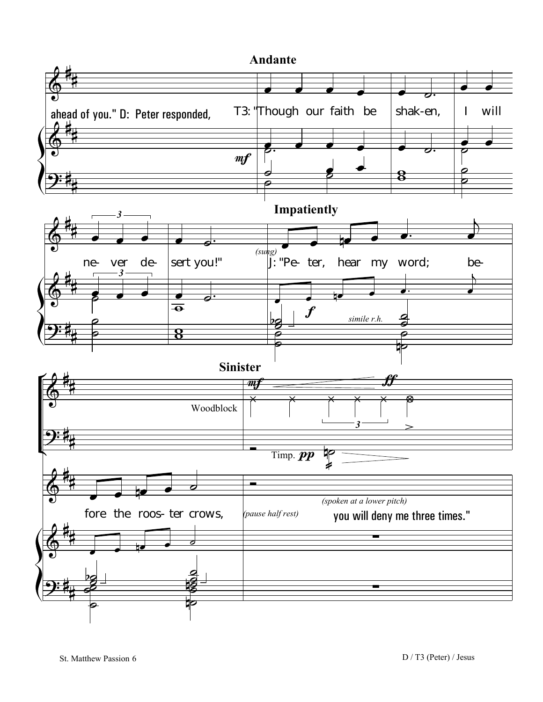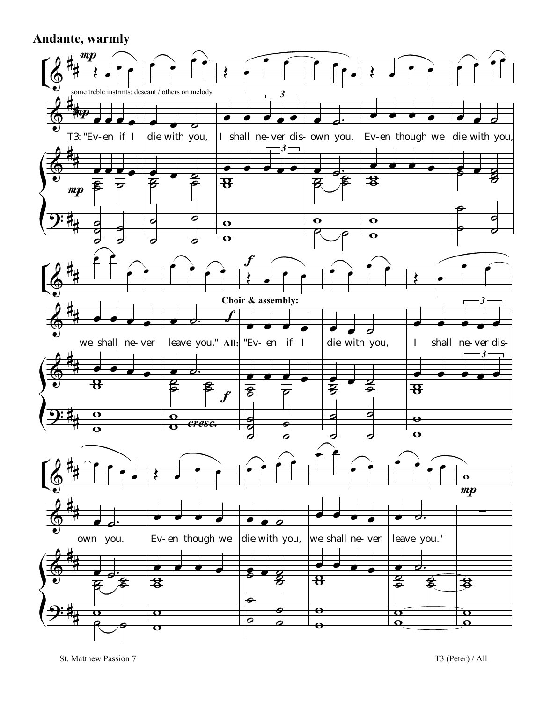**Andante, warmly** 

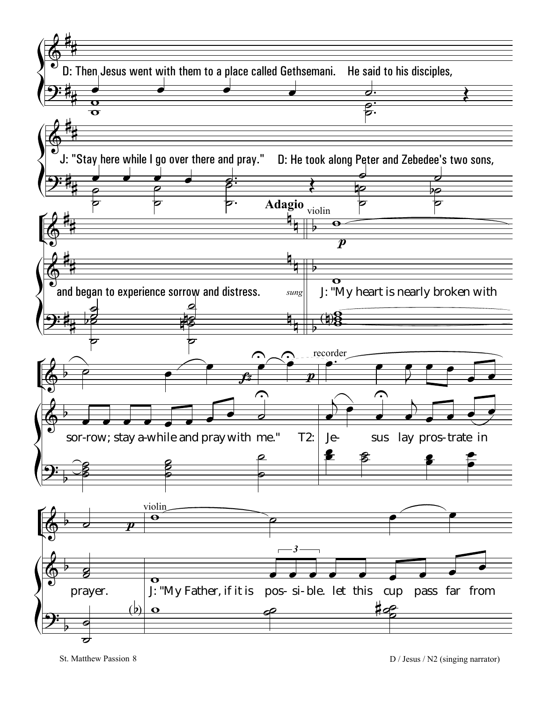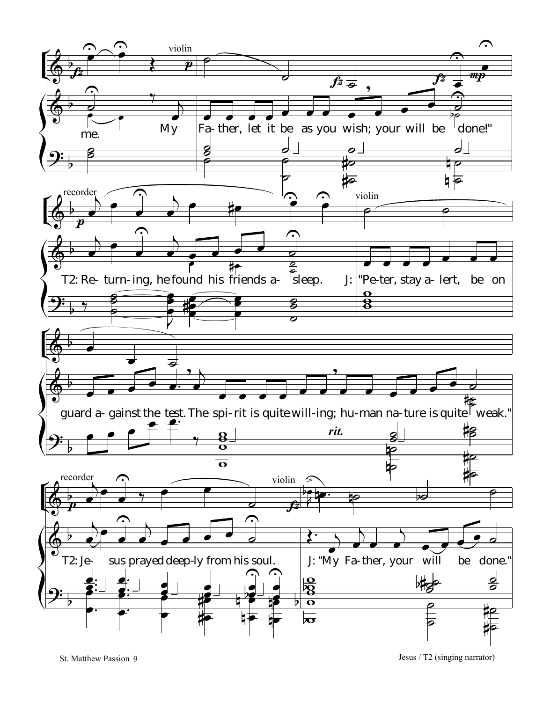

Jesus / T2 (singing narrator)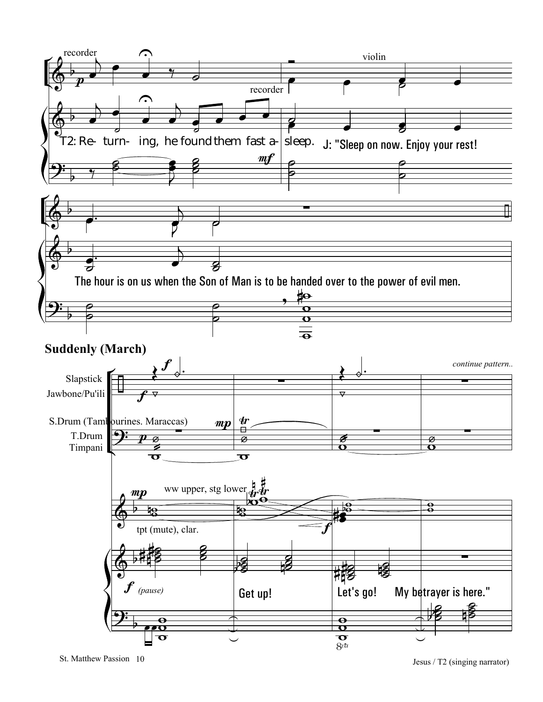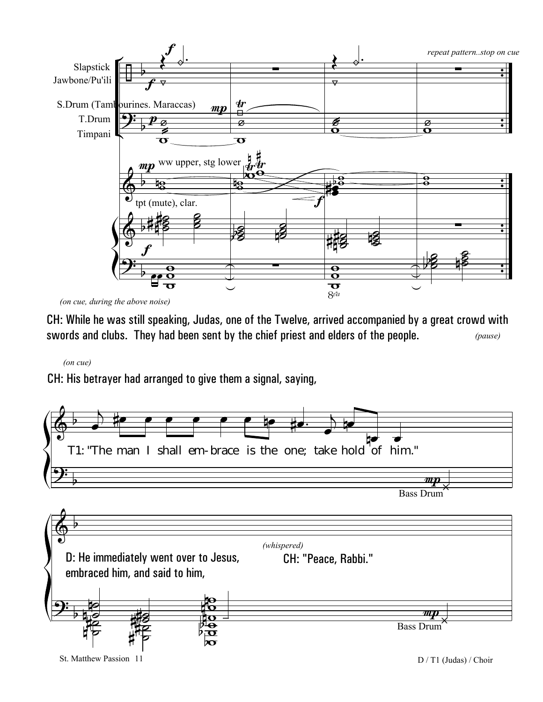

<sup>(</sup>on cue, during the above noise)

CH: While he was still speaking, Judas, one of the Twelve, arrived accompanied by a great crowd with swords and clubs. They had been sent by the chief priest and elders of the people. (pause)

## $($ on cue $)$

CH: His betrayer had arranged to give them a signal, saying,

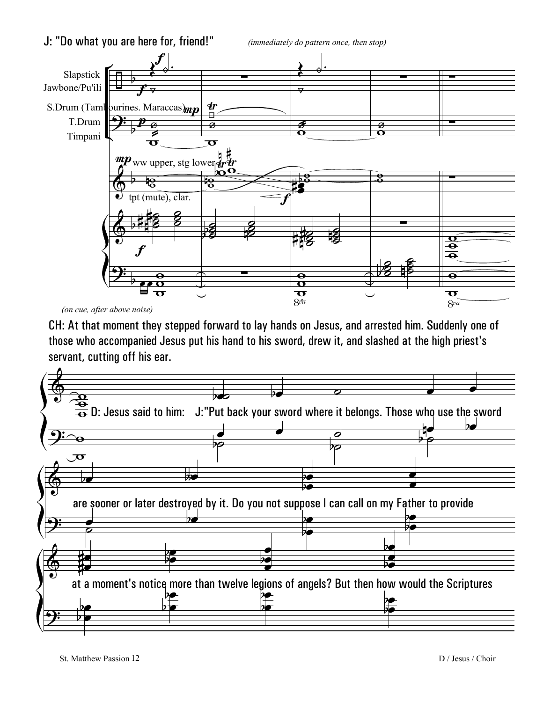

(on cue, after above noise)

CH: At that moment they stepped forward to lay hands on Jesus, and arrested him. Suddenly one of those who accompanied Jesus put his hand to his sword, drew it, and slashed at the high priest's servant, cutting off his ear.

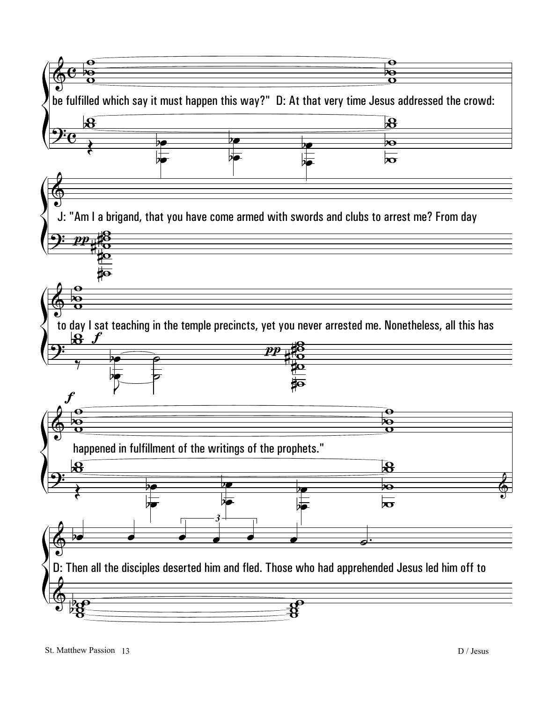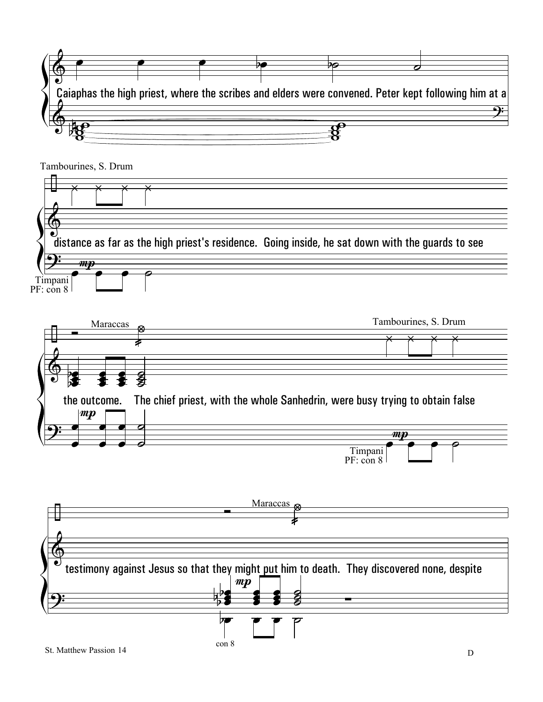



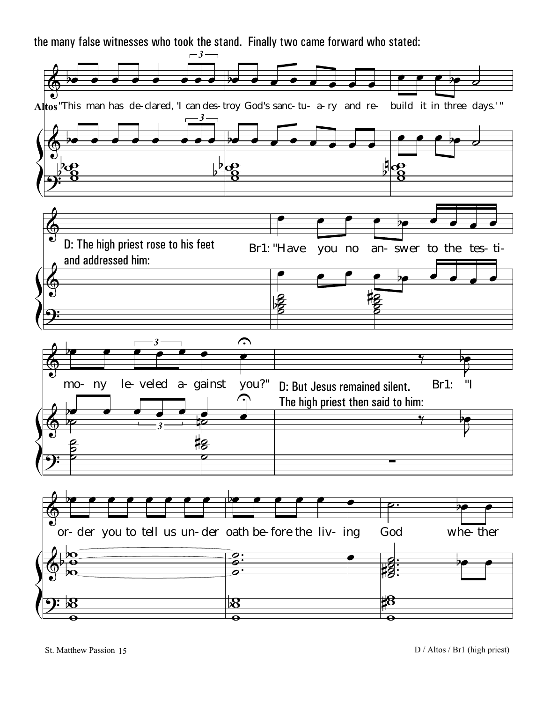the many false witnesses who took the stand. Finally two came forward who stated:

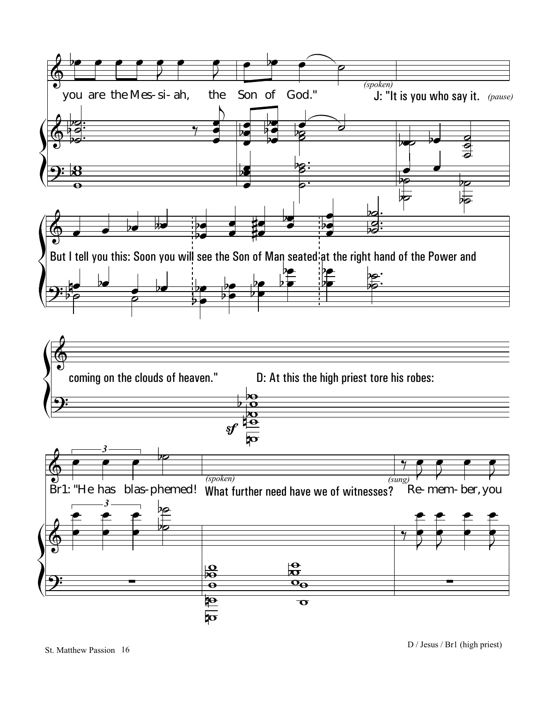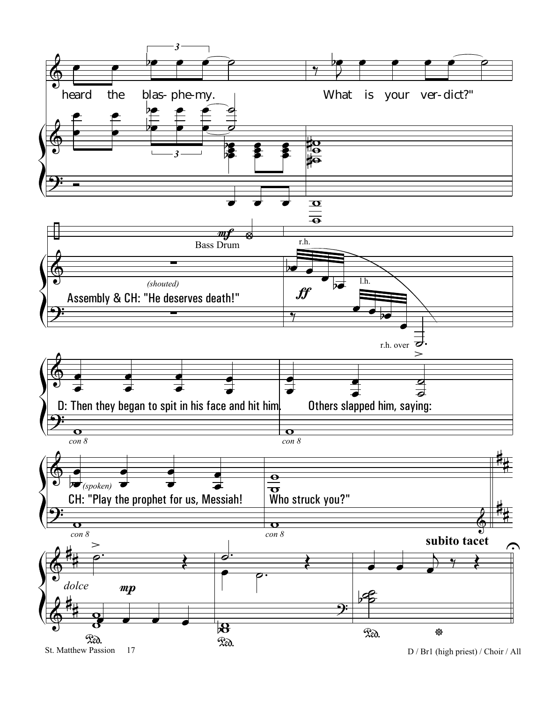

D / Br1 (high priest) / Choir / All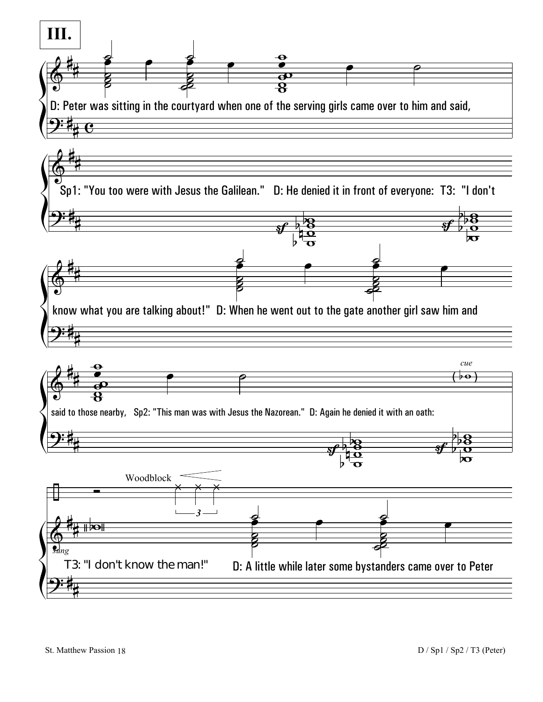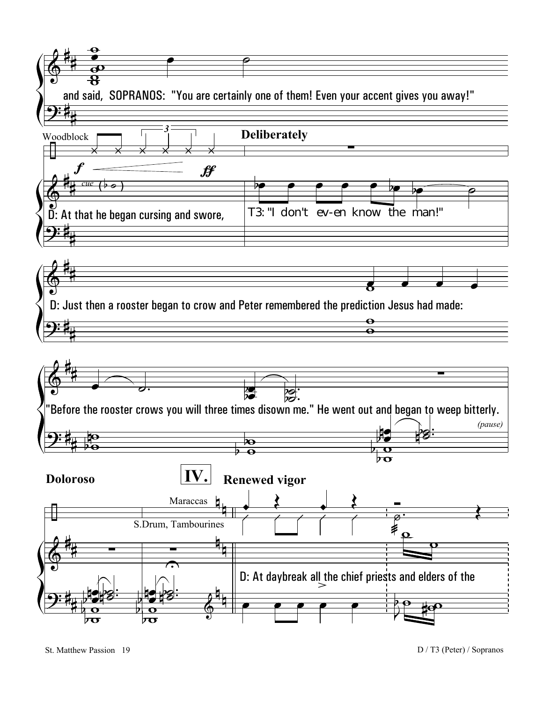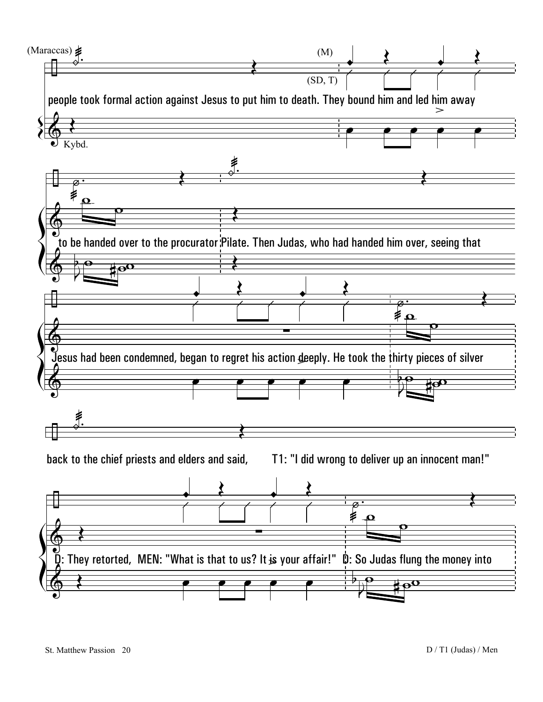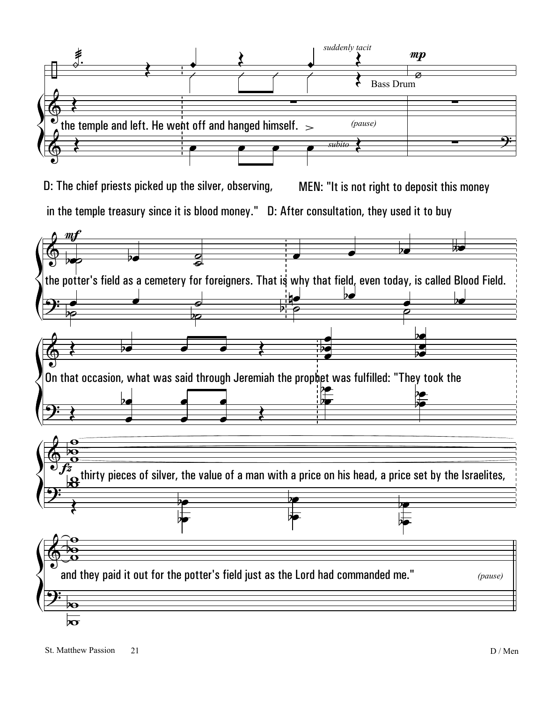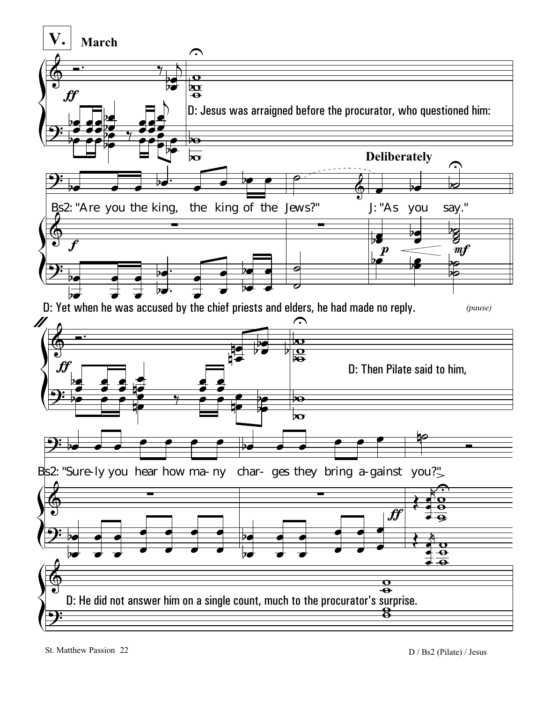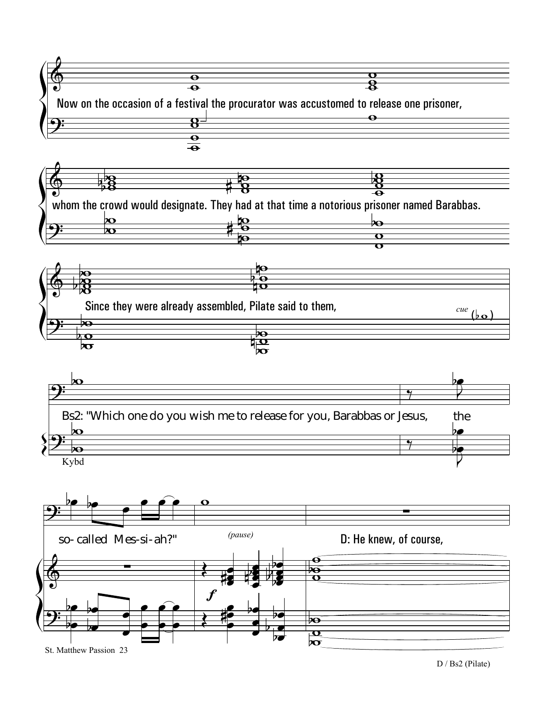

 $D / Bs2$  (Pilate)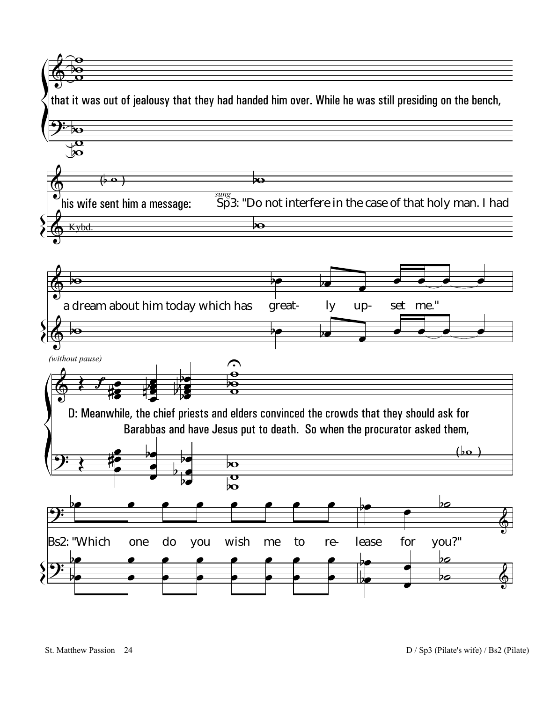![](_page_25_Figure_0.jpeg)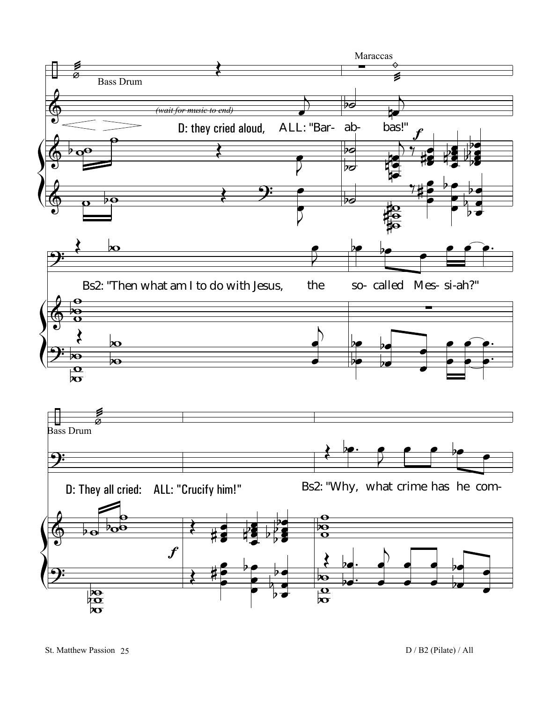![](_page_26_Figure_0.jpeg)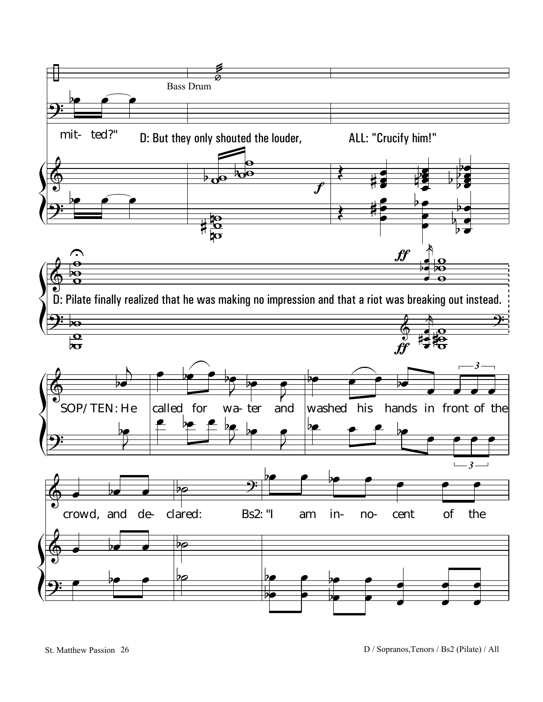![](_page_27_Figure_0.jpeg)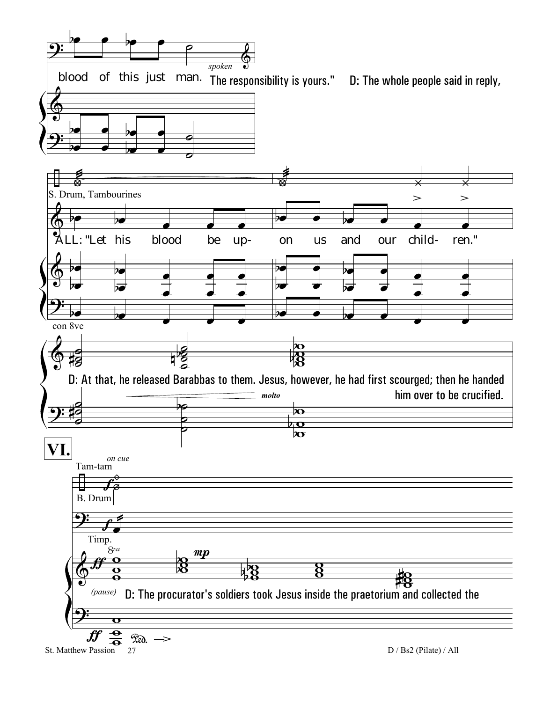![](_page_28_Figure_0.jpeg)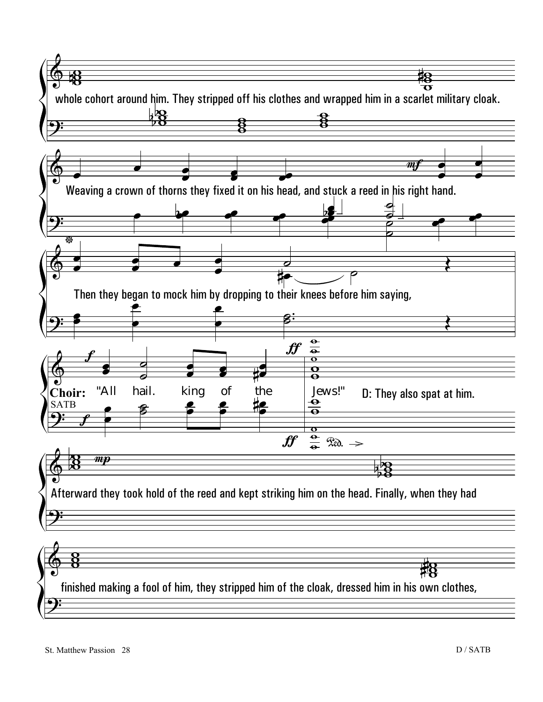![](_page_29_Figure_0.jpeg)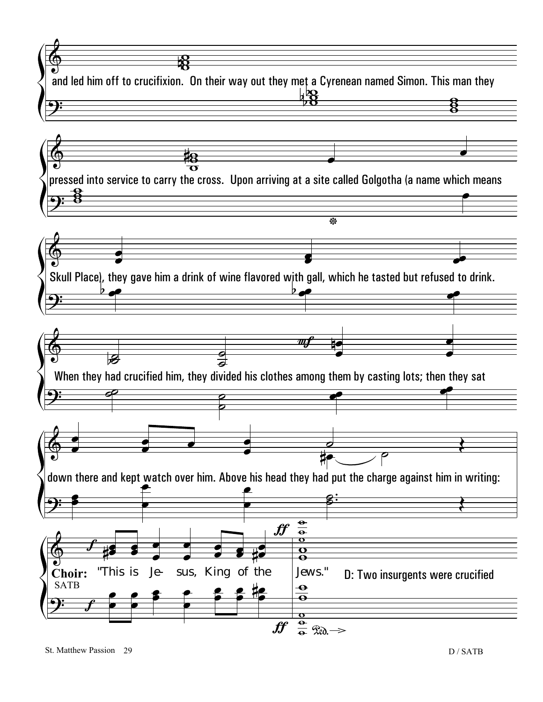![](_page_30_Figure_0.jpeg)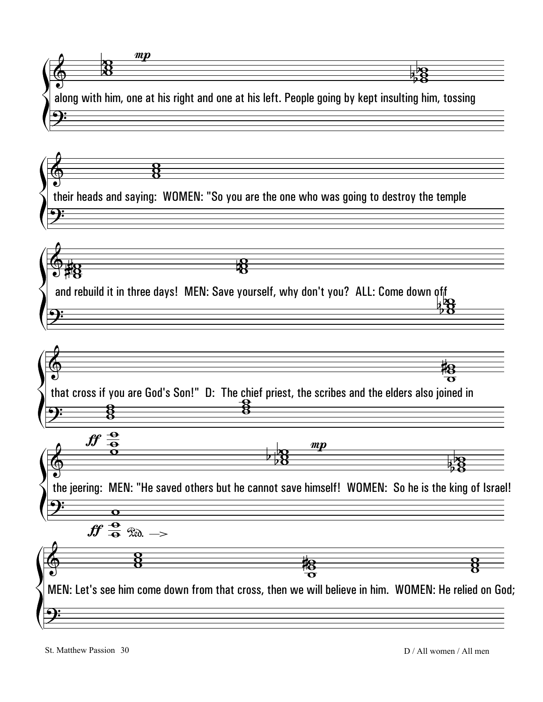$\bigcirc$  $\left\{\begin{matrix} \leftarrow & \mathbf{B} \\ \leftarrow & \mathbf{B} \\ \mathbf{a} \end{matrix}\right.$  $\boldsymbol{m}{\boldsymbol{p}}$ along with him, one at his right and one at his left. People going by kept insulting him, tossing **H**  $\frac{1}{\sqrt{2}}$  $\bigcirc$  $\left\{\begin{array}{ccc}\n\circ & \circ & \circ \\
\circ & \circ & \circ \\
\text{their heads and saying:} \\
\bullet & \bullet\n\end{array}\right.$ their heads and saying: WOMEN: "So you are the one who was going to destroy the temple  $\overline{ }$  $\frac{6}{18}$ and rebuild it in three days! MEN: Save yourself, why don't you? ALL: Come down off<br>B  $\mathbb{R}$  $\frac{1}{\sqrt{2}}$  $\bigcirc$ that cross if you are God's Son!" D: The chief priest, the scribes and the elders also joined in **‡8**  $\frac{1}{\sqrt{2}}$ you are gould slowly be the children of  $\frac{2}{3}$  $\bigcirc$  $\bigg\{$  $\frac{\Theta}{\Omega}$  $\frac{\mathbf{O}}{\mathbf{O}}$  $\frac{\Theta}{\Omega}$ <u>ff</u> the jeering: MEN: "He saved others but he cannot save himself! WOMEN: So he is the king of Israel!  $\frac{1}{2}$  $\begin{array}{c}\n\text{mp} \\
\downarrow \\
\downarrow \\
\downarrow\n\end{array}$  $\frac{1}{\sqrt{1-\frac{1}{2}}}$  $\overline{\mathbf{o}}$  $\int f \frac{\Theta}{\Theta} \exp \left(-\frac{1}{2} \right) d\theta$  $\begin{array}{c} 6 \ \ \, \odot \end{array}$ MEN: Let's see him come down from that cross, then we will believe in him. WOMEN: He relied on God; Í8  $\tilde{\mathbf{\sigma}}$  $\overline{\mathbf{g}}$ 

 $\frac{1}{\sqrt{1-\frac{1}{2}}}$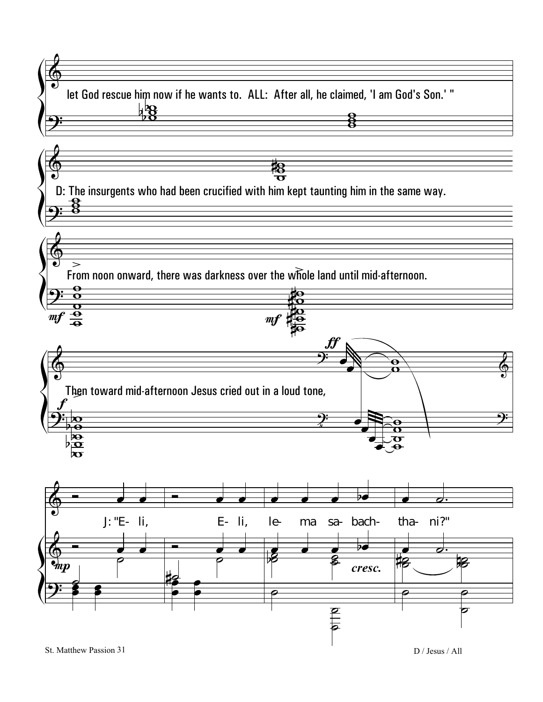![](_page_32_Figure_0.jpeg)

D / Jesus / All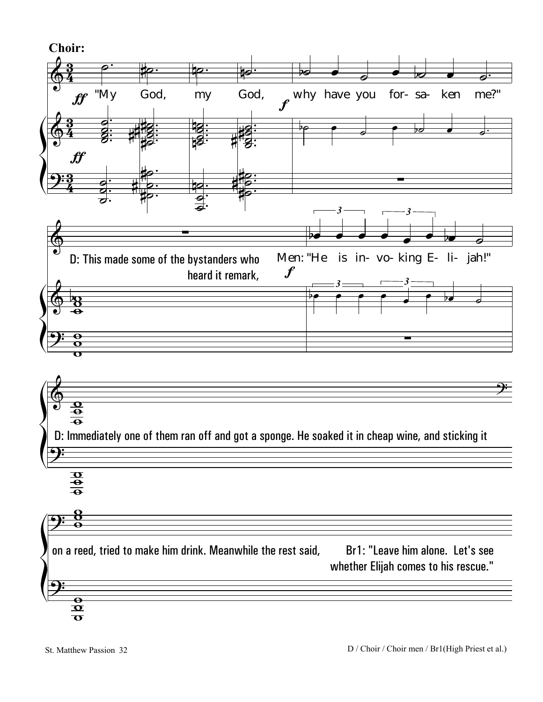![](_page_33_Figure_0.jpeg)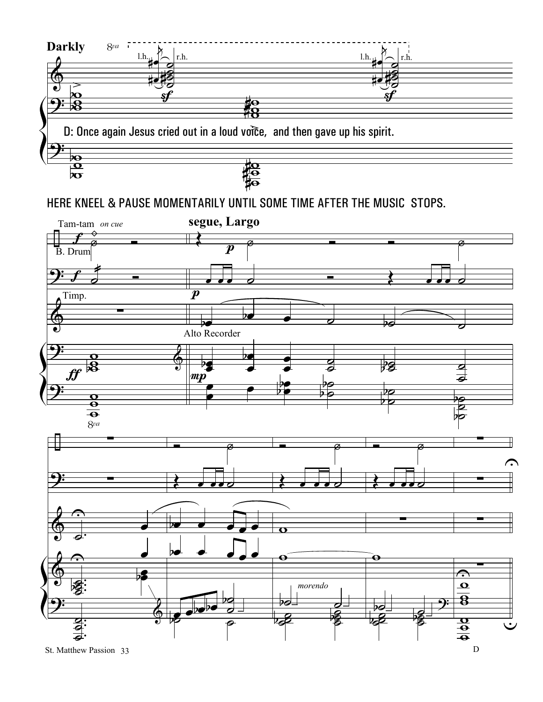![](_page_34_Figure_0.jpeg)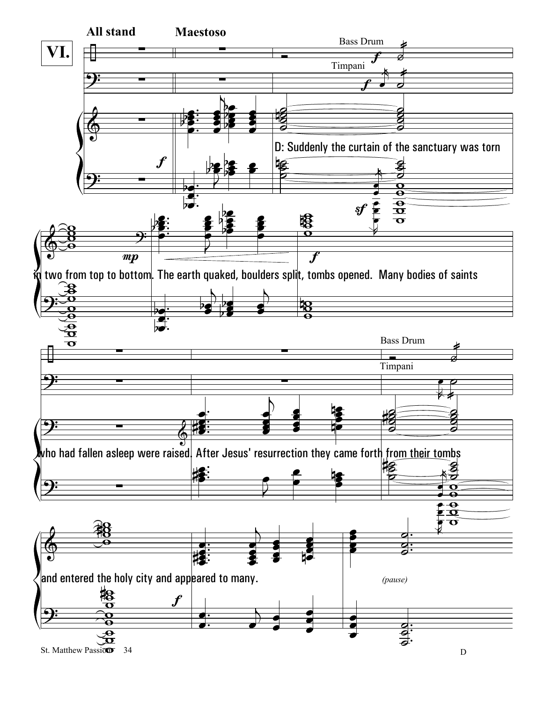![](_page_35_Figure_0.jpeg)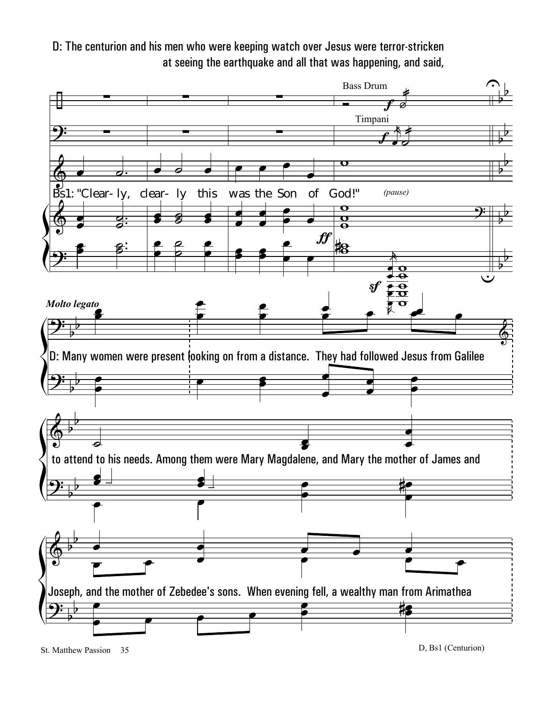D: The centurion and his men who were keeping watch over Jesus were terror-stricken at seeing the earthquake and all that was happening, and said,

![](_page_36_Figure_1.jpeg)

St. Matthew Passion 35 D, Bs1 (Centurion)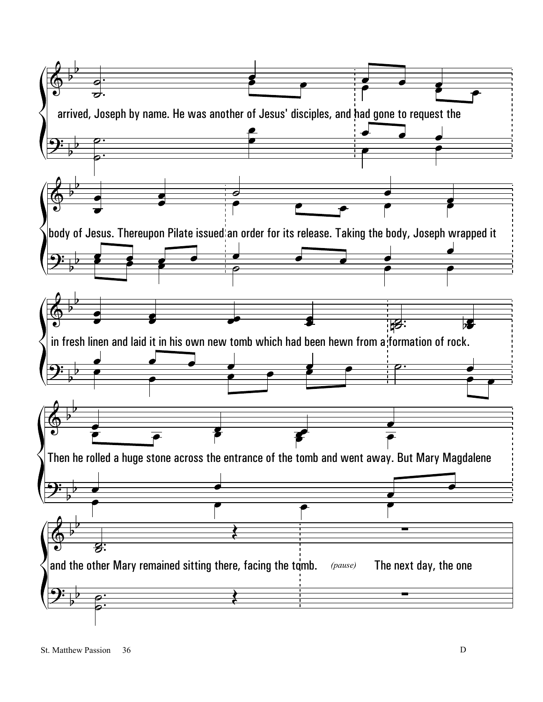![](_page_37_Figure_0.jpeg)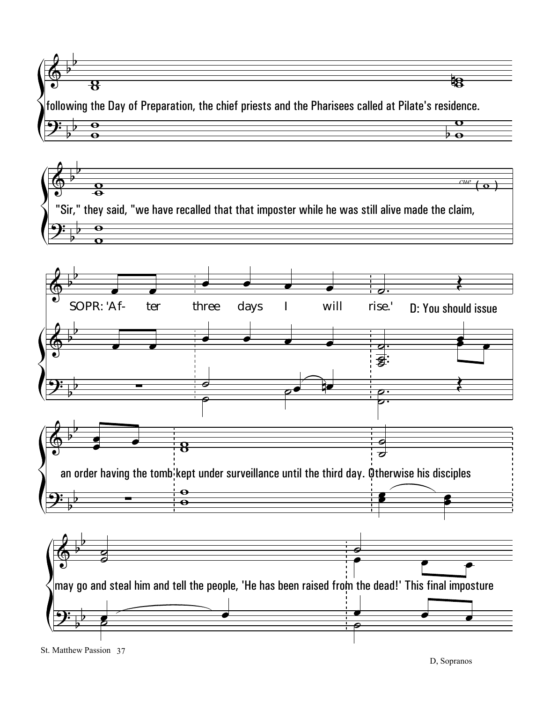![](_page_38_Figure_0.jpeg)

St. Matthew Passion 37